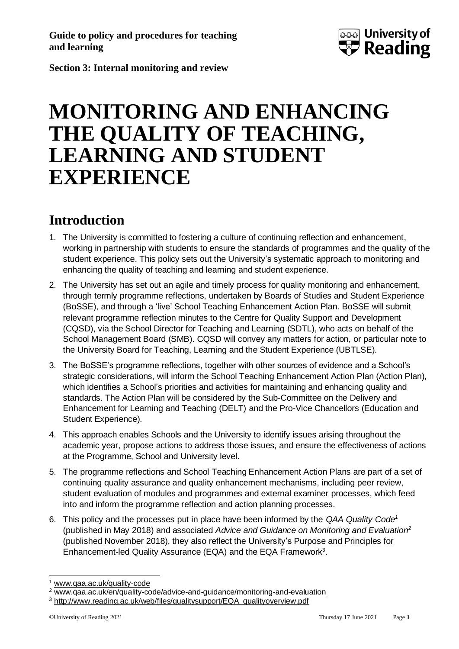

**Section 3: Internal monitoring and review**

# **MONITORING AND ENHANCING THE QUALITY OF TEACHING, LEARNING AND STUDENT EXPERIENCE**

### **Introduction**

- 1. The University is committed to fostering a culture of continuing reflection and enhancement, working in partnership with students to ensure the standards of programmes and the quality of the student experience. This policy sets out the University's systematic approach to monitoring and enhancing the quality of teaching and learning and student experience.
- 2. The University has set out an agile and timely process for quality monitoring and enhancement, through termly programme reflections, undertaken by Boards of Studies and Student Experience (BoSSE), and through a 'live' School Teaching Enhancement Action Plan. BoSSE will submit relevant programme reflection minutes to the Centre for Quality Support and Development (CQSD), via the School Director for Teaching and Learning (SDTL), who acts on behalf of the School Management Board (SMB). CQSD will convey any matters for action, or particular note to the University Board for Teaching, Learning and the Student Experience (UBTLSE).
- 3. The BoSSE's programme reflections, together with other sources of evidence and a School's strategic considerations, will inform the School Teaching Enhancement Action Plan (Action Plan), which identifies a School's priorities and activities for maintaining and enhancing quality and standards. The Action Plan will be considered by the Sub-Committee on the Delivery and Enhancement for Learning and Teaching (DELT) and the Pro-Vice Chancellors (Education and Student Experience).
- 4. This approach enables Schools and the University to identify issues arising throughout the academic year, propose actions to address those issues, and ensure the effectiveness of actions at the Programme, School and University level.
- 5. The programme reflections and School Teaching Enhancement Action Plans are part of a set of continuing quality assurance and quality enhancement mechanisms, including peer review, student evaluation of modules and programmes and external examiner processes, which feed into and inform the programme reflection and action planning processes.
- 6. This policy and the processes put in place have been informed by the *QAA Quality Code<sup>1</sup>* (published in May 2018) and associated *Advice and Guidance on Monitoring and Evaluation<sup>2</sup>* (published November 2018), they also reflect the University's Purpose and Principles for Enhancement-led Quality Assurance (EQA) and the EQA Framework<sup>3</sup>.

<sup>1</sup> [www.qaa.ac.uk/quality-code](http://www.qaa.ac.uk/quality-code)

<sup>&</sup>lt;sup>2</sup> [www.qaa.ac.uk/en/quality-code/advice-and-guidance/monitoring-and-evaluation](http://www.qaa.ac.uk/en/quality-code/advice-and-guidance/monitoring-and-evaluation)

<sup>3</sup> [http://www.reading.ac.uk/web/files/qualitysupport/EQA\\_qualityoverview.pdf](http://www.reading.ac.uk/web/files/qualitysupport/EQA_qualityoverview.pdf)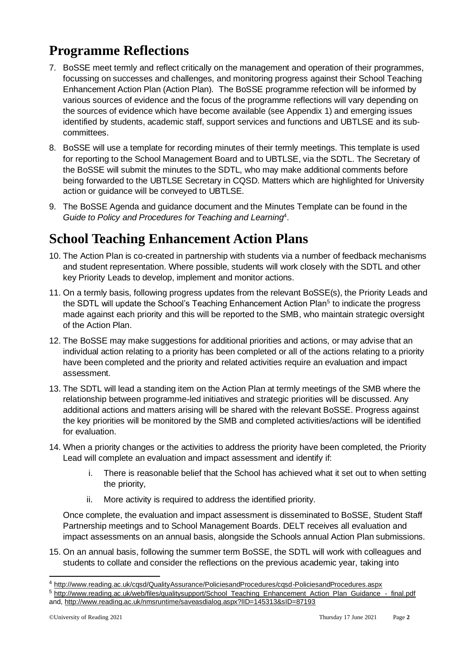# **Programme Reflections**

- 7. BoSSE meet termly and reflect critically on the management and operation of their programmes, focussing on successes and challenges, and monitoring progress against their School Teaching Enhancement Action Plan (Action Plan). The BoSSE programme refection will be informed by various sources of evidence and the focus of the programme reflections will vary depending on the sources of evidence which have become available (see Appendix 1) and emerging issues identified by students, academic staff, support services and functions and UBTLSE and its subcommittees.
- 8. BoSSE will use a template for recording minutes of their termly meetings. This template is used for reporting to the School Management Board and to UBTLSE, via the SDTL. The Secretary of the BoSSE will submit the minutes to the SDTL, who may make additional comments before being forwarded to the UBTLSE Secretary in CQSD. Matters which are highlighted for University action or guidance will be conveyed to UBTLSE.
- 9. The BoSSE Agenda and guidance document and the Minutes Template can be found in the *Guide to Policy and Procedures for Teaching and Learning*<sup>4</sup> .

## **School Teaching Enhancement Action Plans**

- 10. The Action Plan is co-created in partnership with students via a number of feedback mechanisms and student representation. Where possible, students will work closely with the SDTL and other key Priority Leads to develop, implement and monitor actions.
- 11. On a termly basis, following progress updates from the relevant BoSSE(s), the Priority Leads and the SDTL will update the School's Teaching Enhancement Action Plan<sup>5</sup> to indicate the progress made against each priority and this will be reported to the SMB, who maintain strategic oversight of the Action Plan.
- 12. The BoSSE may make suggestions for additional priorities and actions, or may advise that an individual action relating to a priority has been completed or all of the actions relating to a priority have been completed and the priority and related activities require an evaluation and impact assessment.
- 13. The SDTL will lead a standing item on the Action Plan at termly meetings of the SMB where the relationship between programme-led initiatives and strategic priorities will be discussed. Any additional actions and matters arising will be shared with the relevant BoSSE. Progress against the key priorities will be monitored by the SMB and completed activities/actions will be identified for evaluation.
- 14. When a priority changes or the activities to address the priority have been completed, the Priority Lead will complete an evaluation and impact assessment and identify if:
	- i. There is reasonable belief that the School has achieved what it set out to when setting the priority,
	- ii. More activity is required to address the identified priority.

Once complete, the evaluation and impact assessment is disseminated to BoSSE, Student Staff Partnership meetings and to School Management Boards. DELT receives all evaluation and impact assessments on an annual basis, alongside the Schools annual Action Plan submissions.

15. On an annual basis, following the summer term BoSSE, the SDTL will work with colleagues and students to collate and consider the reflections on the previous academic year, taking into

<sup>4</sup> <http://www.reading.ac.uk/cqsd/QualityAssurance/PoliciesandProcedures/cqsd-PoliciesandProcedures.aspx>

<sup>5</sup> [http://www.reading.ac.uk/web/files/qualitysupport/School\\_Teaching\\_Enhancement\\_Action\\_Plan\\_Guidance\\_-\\_final.pdf](http://www.reading.ac.uk/web/files/qualitysupport/School_Teaching_Enhancement_Action_Plan_Guidance_-_final.pdf) and,<http://www.reading.ac.uk/nmsruntime/saveasdialog.aspx?lID=145313&sID=87193>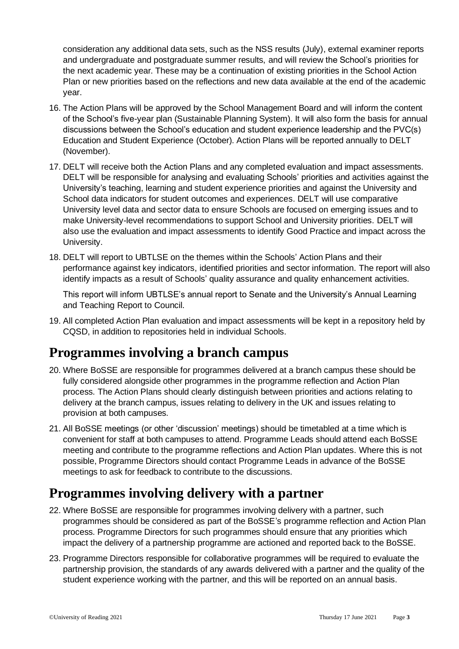consideration any additional data sets, such as the NSS results (July), external examiner reports and undergraduate and postgraduate summer results, and will review the School's priorities for the next academic year. These may be a continuation of existing priorities in the School Action Plan or new priorities based on the reflections and new data available at the end of the academic year.

- 16. The Action Plans will be approved by the School Management Board and will inform the content of the School's five-year plan (Sustainable Planning System). It will also form the basis for annual discussions between the School's education and student experience leadership and the PVC(s) Education and Student Experience (October). Action Plans will be reported annually to DELT (November).
- 17. DELT will receive both the Action Plans and any completed evaluation and impact assessments. DELT will be responsible for analysing and evaluating Schools' priorities and activities against the University's teaching, learning and student experience priorities and against the University and School data indicators for student outcomes and experiences. DELT will use comparative University level data and sector data to ensure Schools are focused on emerging issues and to make University-level recommendations to support School and University priorities. DELT will also use the evaluation and impact assessments to identify Good Practice and impact across the University.
- 18. DELT will report to UBTLSE on the themes within the Schools' Action Plans and their performance against key indicators, identified priorities and sector information. The report will also identify impacts as a result of Schools' quality assurance and quality enhancement activities.

This report will inform UBTLSE's annual report to Senate and the University's Annual Learning and Teaching Report to Council.

19. All completed Action Plan evaluation and impact assessments will be kept in a repository held by CQSD, in addition to repositories held in individual Schools.

#### **Programmes involving a branch campus**

- 20. Where BoSSE are responsible for programmes delivered at a branch campus these should be fully considered alongside other programmes in the programme reflection and Action Plan process. The Action Plans should clearly distinguish between priorities and actions relating to delivery at the branch campus, issues relating to delivery in the UK and issues relating to provision at both campuses.
- 21. All BoSSE meetings (or other 'discussion' meetings) should be timetabled at a time which is convenient for staff at both campuses to attend. Programme Leads should attend each BoSSE meeting and contribute to the programme reflections and Action Plan updates. Where this is not possible, Programme Directors should contact Programme Leads in advance of the BoSSE meetings to ask for feedback to contribute to the discussions.

#### **Programmes involving delivery with a partner**

- 22. Where BoSSE are responsible for programmes involving delivery with a partner, such programmes should be considered as part of the BoSSE's programme reflection and Action Plan process. Programme Directors for such programmes should ensure that any priorities which impact the delivery of a partnership programme are actioned and reported back to the BoSSE.
- 23. Programme Directors responsible for collaborative programmes will be required to evaluate the partnership provision, the standards of any awards delivered with a partner and the quality of the student experience working with the partner, and this will be reported on an annual basis.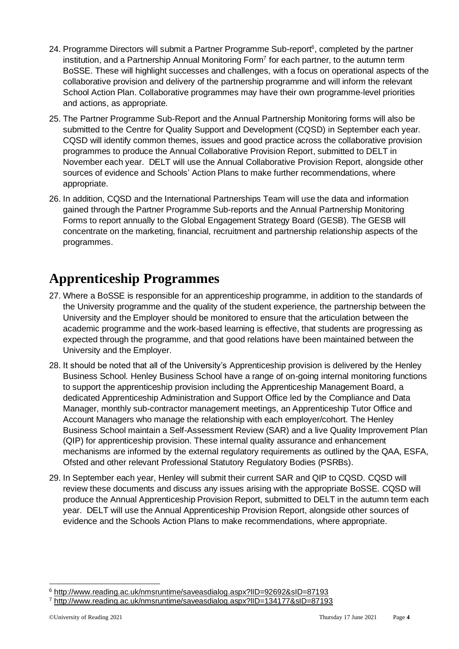- 24. Programme Directors will submit a Partner Programme Sub-report<sup>6</sup>, completed by the partner institution, and a Partnership Annual Monitoring Form<sup>7</sup> for each partner, to the autumn term BoSSE. These will highlight successes and challenges, with a focus on operational aspects of the collaborative provision and delivery of the partnership programme and will inform the relevant School Action Plan. Collaborative programmes may have their own programme-level priorities and actions, as appropriate.
- 25. The Partner Programme Sub-Report and the Annual Partnership Monitoring forms will also be submitted to the Centre for Quality Support and Development (CQSD) in September each year. CQSD will identify common themes, issues and good practice across the collaborative provision programmes to produce the Annual Collaborative Provision Report, submitted to DELT in November each year. DELT will use the Annual Collaborative Provision Report, alongside other sources of evidence and Schools' Action Plans to make further recommendations, where appropriate.
- 26. In addition, CQSD and the International Partnerships Team will use the data and information gained through the Partner Programme Sub-reports and the Annual Partnership Monitoring Forms to report annually to the Global Engagement Strategy Board (GESB). The GESB will concentrate on the marketing, financial, recruitment and partnership relationship aspects of the programmes.

#### **Apprenticeship Programmes**

- 27. Where a BoSSE is responsible for an apprenticeship programme, in addition to the standards of the University programme and the quality of the student experience, the partnership between the University and the Employer should be monitored to ensure that the articulation between the academic programme and the work-based learning is effective, that students are progressing as expected through the programme, and that good relations have been maintained between the University and the Employer.
- 28. It should be noted that all of the University's Apprenticeship provision is delivered by the Henley Business School. Henley Business School have a range of on-going internal monitoring functions to support the apprenticeship provision including the Apprenticeship Management Board, a dedicated Apprenticeship Administration and Support Office led by the Compliance and Data Manager, monthly sub-contractor management meetings, an Apprenticeship Tutor Office and Account Managers who manage the relationship with each employer/cohort. The Henley Business School maintain a Self-Assessment Review (SAR) and a live Quality Improvement Plan (QIP) for apprenticeship provision. These internal quality assurance and enhancement mechanisms are informed by the external regulatory requirements as outlined by the QAA, ESFA, Ofsted and other relevant Professional Statutory Regulatory Bodies (PSRBs).
- 29. In September each year, Henley will submit their current SAR and QIP to CQSD. CQSD will review these documents and discuss any issues arising with the appropriate BoSSE. CQSD will produce the Annual Apprenticeship Provision Report, submitted to DELT in the autumn term each year. DELT will use the Annual Apprenticeship Provision Report, alongside other sources of evidence and the Schools Action Plans to make recommendations, where appropriate.

<sup>6</sup> <http://www.reading.ac.uk/nmsruntime/saveasdialog.aspx?lID=92692&sID=87193>

<sup>7</sup> <http://www.reading.ac.uk/nmsruntime/saveasdialog.aspx?lID=134177&sID=87193>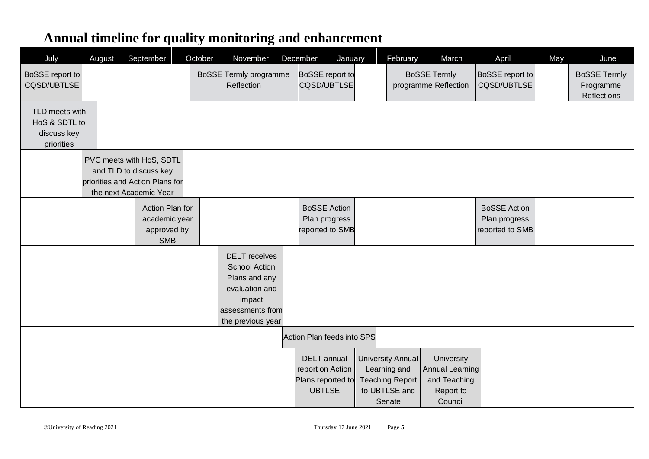| July                                                         | August | September                                                                                                       | October | November                                                                                                                           | December<br>January                                                          |                                                                                        | February | March                                                                        | April                                                   | May | June                                                   |
|--------------------------------------------------------------|--------|-----------------------------------------------------------------------------------------------------------------|---------|------------------------------------------------------------------------------------------------------------------------------------|------------------------------------------------------------------------------|----------------------------------------------------------------------------------------|----------|------------------------------------------------------------------------------|---------------------------------------------------------|-----|--------------------------------------------------------|
| BoSSE report to<br>CQSD/UBTLSE                               |        |                                                                                                                 |         | <b>BoSSE Termly programme</b><br>Reflection                                                                                        | BoSSE report to<br>CQSD/UBTLSE                                               |                                                                                        |          | <b>BoSSE Termly</b><br>programme Reflection                                  | BoSSE report to<br>CQSD/UBTLSE                          |     | <b>BoSSE Termly</b><br>Programme<br><b>Reflections</b> |
| TLD meets with<br>HoS & SDTL to<br>discuss key<br>priorities |        |                                                                                                                 |         |                                                                                                                                    |                                                                              |                                                                                        |          |                                                                              |                                                         |     |                                                        |
|                                                              |        | PVC meets with HoS, SDTL<br>and TLD to discuss key<br>priorities and Action Plans for<br>the next Academic Year |         |                                                                                                                                    |                                                                              |                                                                                        |          |                                                                              |                                                         |     |                                                        |
|                                                              |        | Action Plan for<br>academic year<br>approved by<br><b>SMB</b>                                                   |         |                                                                                                                                    | <b>BoSSE Action</b><br>Plan progress<br>reported to SMB                      |                                                                                        |          |                                                                              | <b>BoSSE Action</b><br>Plan progress<br>reported to SMB |     |                                                        |
|                                                              |        |                                                                                                                 |         | <b>DELT</b> receives<br><b>School Action</b><br>Plans and any<br>evaluation and<br>impact<br>assessments from<br>the previous year |                                                                              |                                                                                        |          |                                                                              |                                                         |     |                                                        |
|                                                              |        |                                                                                                                 |         | Action Plan feeds into SPS                                                                                                         |                                                                              |                                                                                        |          |                                                                              |                                                         |     |                                                        |
|                                                              |        |                                                                                                                 |         |                                                                                                                                    | <b>DELT</b> annual<br>report on Action<br>Plans reported to<br><b>UBTLSE</b> | University Annual<br>Learning and<br><b>Teaching Report</b><br>to UBTLSE and<br>Senate |          | University<br><b>Annual Learning</b><br>and Teaching<br>Report to<br>Council |                                                         |     |                                                        |

# **Annual timeline for quality monitoring and enhancement**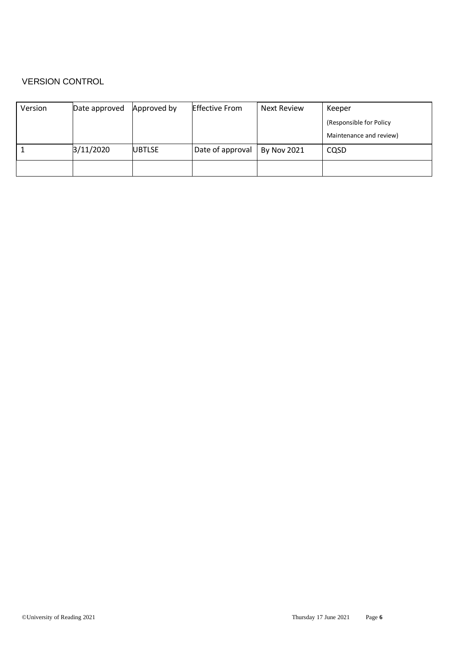#### VERSION CONTROL

| Version | Date approved | Approved by   | <b>Effective From</b> | Next Review        | Keeper                  |  |
|---------|---------------|---------------|-----------------------|--------------------|-------------------------|--|
|         |               |               |                       |                    | (Responsible for Policy |  |
|         |               |               |                       |                    | Maintenance and review) |  |
|         | 3/11/2020     | <b>UBTLSE</b> | Date of approval      | <b>By Nov 2021</b> | CQSD                    |  |
|         |               |               |                       |                    |                         |  |